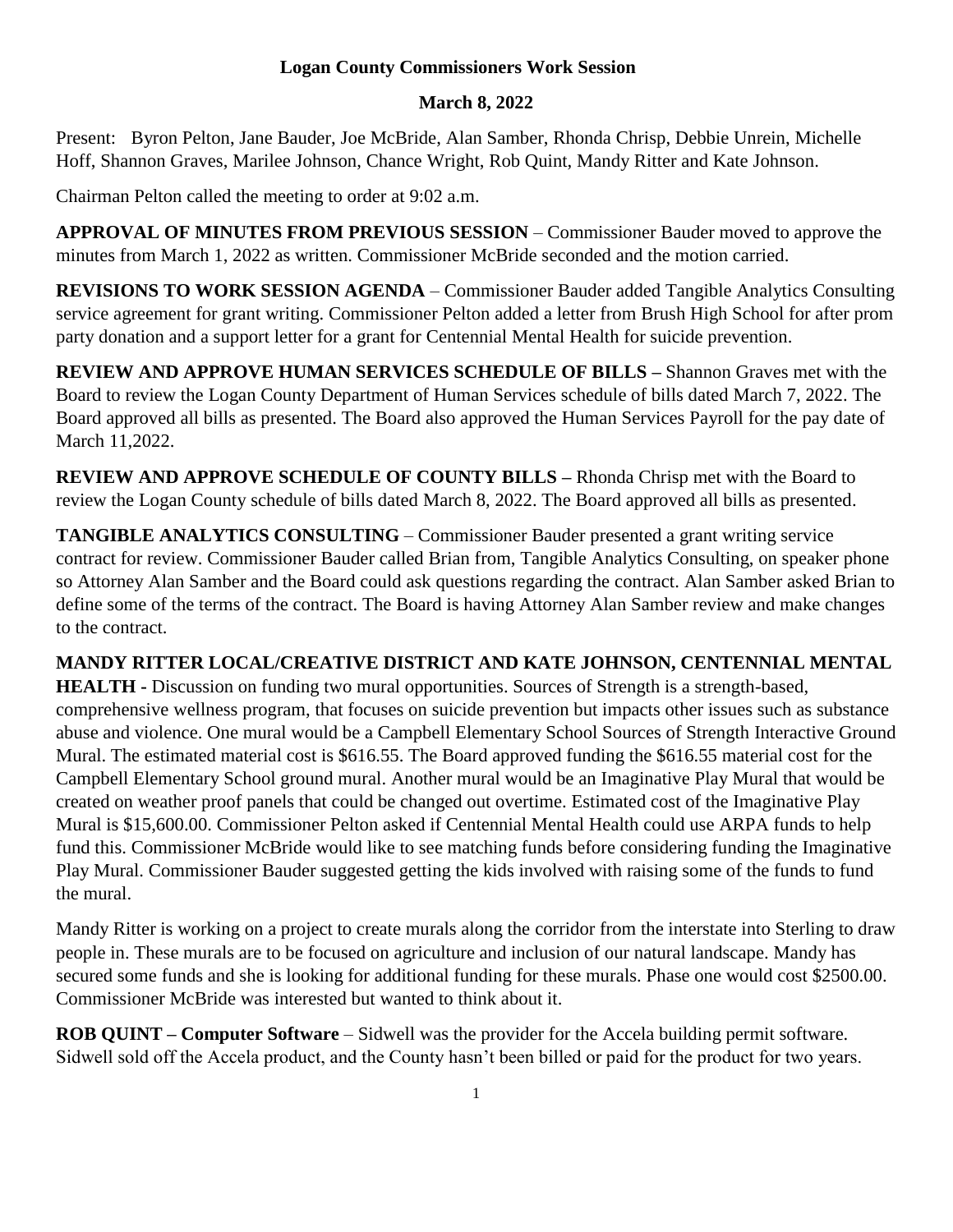## **Logan County Commissioners Work Session**

## **March 8, 2022**

Present: Byron Pelton, Jane Bauder, Joe McBride, Alan Samber, Rhonda Chrisp, Debbie Unrein, Michelle Hoff, Shannon Graves, Marilee Johnson, Chance Wright, Rob Quint, Mandy Ritter and Kate Johnson.

Chairman Pelton called the meeting to order at 9:02 a.m.

**APPROVAL OF MINUTES FROM PREVIOUS SESSION** – Commissioner Bauder moved to approve the minutes from March 1, 2022 as written. Commissioner McBride seconded and the motion carried.

**REVISIONS TO WORK SESSION AGENDA** – Commissioner Bauder added Tangible Analytics Consulting service agreement for grant writing. Commissioner Pelton added a letter from Brush High School for after prom party donation and a support letter for a grant for Centennial Mental Health for suicide prevention.

**REVIEW AND APPROVE HUMAN SERVICES SCHEDULE OF BILLS –** Shannon Graves met with the Board to review the Logan County Department of Human Services schedule of bills dated March 7, 2022. The Board approved all bills as presented. The Board also approved the Human Services Payroll for the pay date of March 11,2022.

**REVIEW AND APPROVE SCHEDULE OF COUNTY BILLS –** Rhonda Chrisp met with the Board to review the Logan County schedule of bills dated March 8, 2022. The Board approved all bills as presented.

**TANGIBLE ANALYTICS CONSULTING** – Commissioner Bauder presented a grant writing service contract for review. Commissioner Bauder called Brian from, Tangible Analytics Consulting, on speaker phone so Attorney Alan Samber and the Board could ask questions regarding the contract. Alan Samber asked Brian to define some of the terms of the contract. The Board is having Attorney Alan Samber review and make changes to the contract.

**MANDY RITTER LOCAL/CREATIVE DISTRICT AND KATE JOHNSON, CENTENNIAL MENTAL HEALTH -** Discussion on funding two mural opportunities. Sources of Strength is a strength-based, comprehensive wellness program, that focuses on suicide prevention but impacts other issues such as substance abuse and violence. One mural would be a Campbell Elementary School Sources of Strength Interactive Ground Mural. The estimated material cost is \$616.55. The Board approved funding the \$616.55 material cost for the Campbell Elementary School ground mural. Another mural would be an Imaginative Play Mural that would be created on weather proof panels that could be changed out overtime. Estimated cost of the Imaginative Play Mural is \$15,600.00. Commissioner Pelton asked if Centennial Mental Health could use ARPA funds to help fund this. Commissioner McBride would like to see matching funds before considering funding the Imaginative Play Mural. Commissioner Bauder suggested getting the kids involved with raising some of the funds to fund the mural.

Mandy Ritter is working on a project to create murals along the corridor from the interstate into Sterling to draw people in. These murals are to be focused on agriculture and inclusion of our natural landscape. Mandy has secured some funds and she is looking for additional funding for these murals. Phase one would cost \$2500.00. Commissioner McBride was interested but wanted to think about it.

**ROB QUINT – Computer Software** – Sidwell was the provider for the Accela building permit software. Sidwell sold off the Accela product, and the County hasn't been billed or paid for the product for two years.